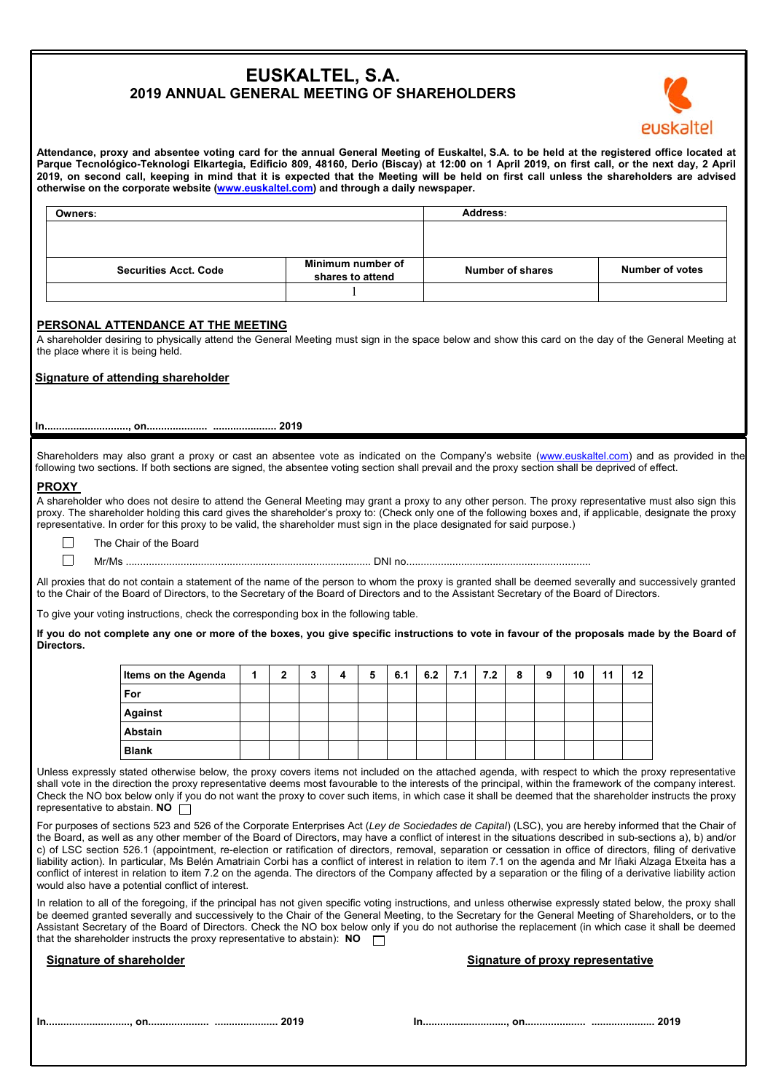# **EUSKALTEL, S.A. 2019 ANNUAL GENERAL MEETING OF SHAREHOLDERS**



**Attendance, proxy and absentee voting card for the annual General Meeting of Euskaltel, S.A. to be held at the registered office located at Parque Tecnológico-Teknologi Elkartegia, Edificio 809, 48160, Derio (Biscay) at 12:00 on 1 April 2019, on first call, or the next day, 2 April 2019, on second call, keeping in mind that it is expected that the Meeting will be held on first call unless the shareholders are advised otherwise on the corporate website (www.euskaltel.com) and through a daily newspaper.** 

| Owners:                      |                   | Address:         |                        |
|------------------------------|-------------------|------------------|------------------------|
|                              |                   |                  |                        |
|                              |                   |                  |                        |
|                              | Minimum number of |                  |                        |
| <b>Securities Acct. Code</b> | shares to attend  | Number of shares | <b>Number of votes</b> |
|                              |                   |                  |                        |

# **PERSONAL ATTENDANCE AT THE MEETING**

A shareholder desiring to physically attend the General Meeting must sign in the space below and show this card on the day of the General Meeting at the place where it is being held.

### **Signature of attending shareholder**

**In............................., on..................... ...................... 2019** 

Shareholders may also grant a proxy or cast an absentee vote as indicated on the Company's website (www.euskaltel.com) and as provided in the following two sections. If both sections are signed, the absentee voting section shall prevail and the proxy section shall be deprived of effect.

## **PROXY**

 $\Box$ 

A shareholder who does not desire to attend the General Meeting may grant a proxy to any other person. The proxy representative must also sign this proxy. The shareholder holding this card gives the shareholder's proxy to: (Check only one of the following boxes and, if applicable, designate the proxy representative. In order for this proxy to be valid, the shareholder must sign in the place designated for said purpose.)

 $\Box$ The Chair of the Board

Mr/Ms ..................................................................................... DNI no................................................................

All proxies that do not contain a statement of the name of the person to whom the proxy is granted shall be deemed severally and successively granted to the Chair of the Board of Directors, to the Secretary of the Board of Directors and to the Assistant Secretary of the Board of Directors.

To give your voting instructions, check the corresponding box in the following table.

**If you do not complete any one or more of the boxes, you give specific instructions to vote in favour of the proposals made by the Board of Directors.** 

| <b>Items on the Agenda</b> | 1 | າ | 3 | 5 | 6.1 | 6.2 $\mid$ 7.1 $\mid$ | 7.2 | 8 | 9 | 10 | 11 | 12 |
|----------------------------|---|---|---|---|-----|-----------------------|-----|---|---|----|----|----|
| For                        |   |   |   |   |     |                       |     |   |   |    |    |    |
| <b>Against</b>             |   |   |   |   |     |                       |     |   |   |    |    |    |
| Abstain                    |   |   |   |   |     |                       |     |   |   |    |    |    |
| <b>Blank</b>               |   |   |   |   |     |                       |     |   |   |    |    |    |

Unless expressly stated otherwise below, the proxy covers items not included on the attached agenda, with respect to which the proxy representative shall vote in the direction the proxy representative deems most favourable to the interests of the principal, within the framework of the company interest. Check the NO box below only if you do not want the proxy to cover such items, in which case it shall be deemed that the shareholder instructs the proxy representative to abstain. **NO** 

For purposes of sections 523 and 526 of the Corporate Enterprises Act (*Ley de Sociedades de Capital*) (LSC), you are hereby informed that the Chair of the Board, as well as any other member of the Board of Directors, may have a conflict of interest in the situations described in sub-sections a), b) and/or c) of LSC section 526.1 (appointment, re-election or ratification of directors, removal, separation or cessation in office of directors, filing of derivative liability action). In particular, Ms Belén Amatriain Corbi has a conflict of interest in relation to item 7.1 on the agenda and Mr Iñaki Alzaga Etxeita has a conflict of interest in relation to item 7.2 on the agenda. The directors of the Company affected by a separation or the filing of a derivative liability action would also have a potential conflict of interest.

In relation to all of the foregoing, if the principal has not given specific voting instructions, and unless otherwise expressly stated below, the proxy shall be deemed granted severally and successively to the Chair of the General Meeting, to the Secretary for the General Meeting of Shareholders, or to the Assistant Secretary of the Board of Directors. Check the NO box below only if you do not authorise the replacement (in which case it shall be deemed that the shareholder instructs the proxy representative to abstain): **NO**

#### **Signature of shareholder Signature of shareholder Signature of proxy representative**

|--|--|

**In............................., on..................... ...................... 2019 In............................., on..................... ...................... 2019**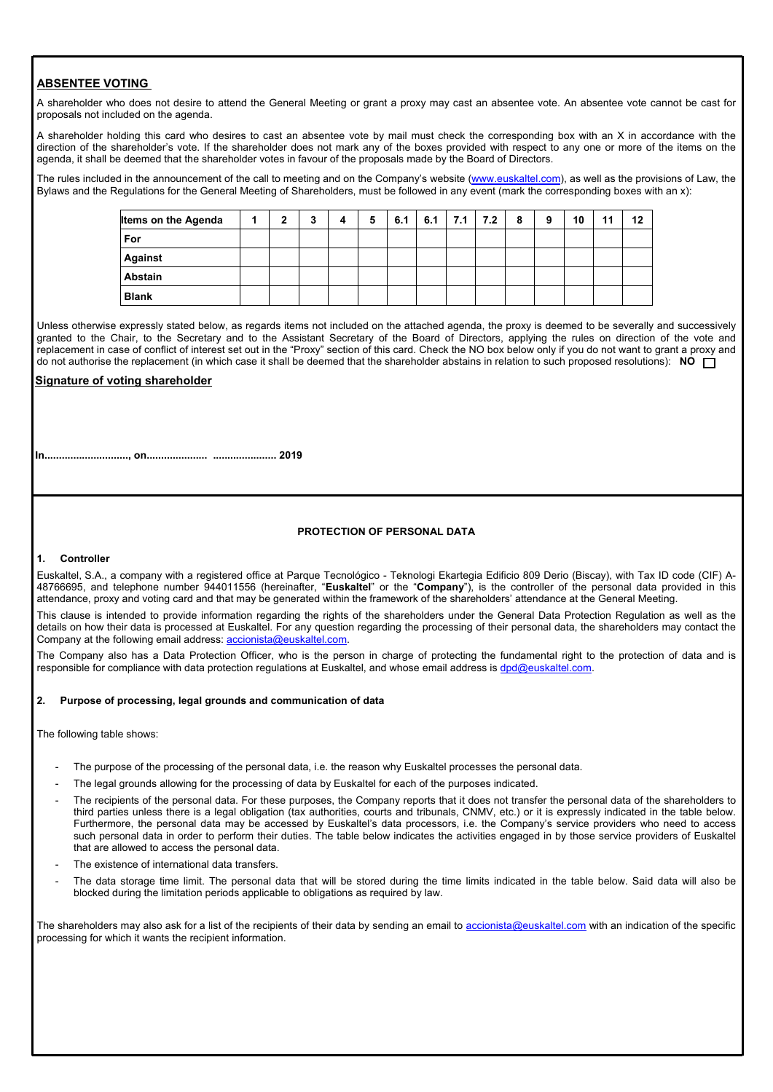# **ABSENTEE VOTING**

A shareholder who does not desire to attend the General Meeting or grant a proxy may cast an absentee vote. An absentee vote cannot be cast for proposals not included on the agenda.

A shareholder holding this card who desires to cast an absentee vote by mail must check the corresponding box with an X in accordance with the direction of the shareholder's vote. If the shareholder does not mark any of the boxes provided with respect to any one or more of the items on the agenda, it shall be deemed that the shareholder votes in favour of the proposals made by the Board of Directors.

The rules included in the announcement of the call to meeting and on the Company's website (www.euskaltel.com), as well as the provisions of Law, the Bylaws and the Regulations for the General Meeting of Shareholders, must be followed in any event (mark the corresponding boxes with an x):

| <b>Items on the Agenda</b> | 4 | 2 | 3 | 4 | 5 | 6.1 | 6.1 | 7.1 | 7.2 | 8 | 9 | 10 | 11 | 12 |
|----------------------------|---|---|---|---|---|-----|-----|-----|-----|---|---|----|----|----|
| For                        |   |   |   |   |   |     |     |     |     |   |   |    |    |    |
| <b>Against</b>             |   |   |   |   |   |     |     |     |     |   |   |    |    |    |
| Abstain                    |   |   |   |   |   |     |     |     |     |   |   |    |    |    |
| <b>Blank</b>               |   |   |   |   |   |     |     |     |     |   |   |    |    |    |

Unless otherwise expressly stated below, as regards items not included on the attached agenda, the proxy is deemed to be severally and successively granted to the Chair, to the Secretary and to the Assistant Secretary of the Board of Directors, applying the rules on direction of the vote and replacement in case of conflict of interest set out in the "Proxy" section of this card. Check the NO box below only if you do not want to grant a proxy and do not authorise the replacement (in which case it shall be deemed that the shareholder abstains in relation to such proposed resolutions): **NO**

# **Signature of voting shareholder**

**In............................., on..................... ...................... 2019**

### **PROTECTION OF PERSONAL DATA**

# **1. Controller**

Euskaltel, S.A., a company with a registered office at Parque Tecnológico - Teknologi Ekartegia Edificio 809 Derio (Biscay), with Tax ID code (CIF) A-48766695, and telephone number 944011556 (hereinafter, "**Euskaltel**" or the "**Company**"), is the controller of the personal data provided in this attendance, proxy and voting card and that may be generated within the framework of the shareholders' attendance at the General Meeting.

This clause is intended to provide information regarding the rights of the shareholders under the General Data Protection Regulation as well as the details on how their data is processed at Euskaltel. For any question regarding the processing of their personal data, the shareholders may contact the Company at the following email address: accionista@euskaltel.com

The Company also has a Data Protection Officer, who is the person in charge of protecting the fundamental right to the protection of data and is responsible for compliance with data protection regulations at Euskaltel, and whose email address is dpd@euskaltel.com.

# **2. Purpose of processing, legal grounds and communication of data**

The following table shows:

- The purpose of the processing of the personal data, i.e. the reason why Euskaltel processes the personal data.
- The legal grounds allowing for the processing of data by Euskaltel for each of the purposes indicated.
- The recipients of the personal data. For these purposes, the Company reports that it does not transfer the personal data of the shareholders to third parties unless there is a legal obligation (tax authorities, courts and tribunals, CNMV, etc.) or it is expressly indicated in the table below. Furthermore, the personal data may be accessed by Euskaltel's data processors, i.e. the Company's service providers who need to access such personal data in order to perform their duties. The table below indicates the activities engaged in by those service providers of Euskaltel that are allowed to access the personal data.
- The existence of international data transfers.
- The data storage time limit. The personal data that will be stored during the time limits indicated in the table below. Said data will also be blocked during the limitation periods applicable to obligations as required by law.

The shareholders may also ask for a list of the recipients of their data by sending an email to accionista@euskaltel.com with an indication of the specific processing for which it wants the recipient information.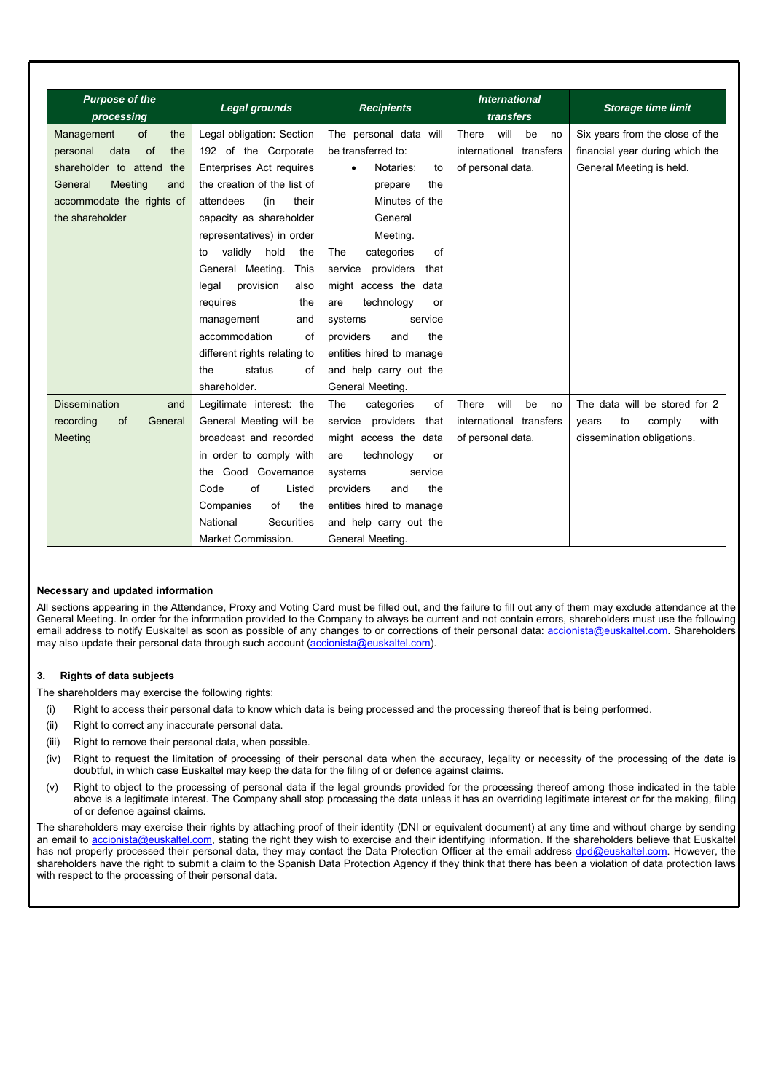| <b>Purpose of the</b><br>processing | <b>Legal grounds</b>          | <b>Recipients</b>            | <b>International</b><br>transfers | <b>Storage time limit</b>       |  |  |
|-------------------------------------|-------------------------------|------------------------------|-----------------------------------|---------------------------------|--|--|
| Management<br>of<br>the             | Legal obligation: Section     | The personal data will       | will<br>There<br>be<br>no         | Six years from the close of the |  |  |
| of<br>personal<br>data<br>the       | 192 of the Corporate          | be transferred to:           | international transfers           | financial year during which the |  |  |
| shareholder to attend<br>the        | Enterprises Act requires      | Notaries:<br>to              | of personal data.                 | General Meeting is held.        |  |  |
| General<br>Meeting<br>and           | the creation of the list of   | the<br>prepare               |                                   |                                 |  |  |
| accommodate the rights of           | attendees<br>(in<br>their     | Minutes of the               |                                   |                                 |  |  |
| the shareholder                     | capacity as shareholder       | General                      |                                   |                                 |  |  |
|                                     | representatives) in order     | Meeting.                     |                                   |                                 |  |  |
|                                     | validly<br>hold<br>the<br>to  | The<br>categories<br>of      |                                   |                                 |  |  |
|                                     | This<br>General Meeting.      | service<br>providers<br>that |                                   |                                 |  |  |
|                                     | provision<br>legal<br>also    | might access the data        |                                   |                                 |  |  |
|                                     | requires<br>the               | technology<br>are<br>or      |                                   |                                 |  |  |
|                                     | management<br>and             | service<br>systems           |                                   |                                 |  |  |
|                                     | accommodation<br>of           | providers<br>and<br>the      |                                   |                                 |  |  |
|                                     | different rights relating to  | entities hired to manage     |                                   |                                 |  |  |
|                                     | status<br>of<br>the           | and help carry out the       |                                   |                                 |  |  |
|                                     | shareholder.                  | General Meeting.             |                                   |                                 |  |  |
| <b>Dissemination</b><br>and         | Legitimate interest: the      | categories<br>The<br>of      | will<br>There<br>be<br>no         | The data will be stored for 2   |  |  |
| recording<br>of<br>General          | General Meeting will be       | providers<br>service<br>that | international transfers           | to<br>with<br>years<br>comply   |  |  |
| Meeting                             | broadcast and recorded        | might access the data        | of personal data.                 | dissemination obligations.      |  |  |
|                                     | in order to comply with       | technology<br>are<br>or      |                                   |                                 |  |  |
|                                     | the Good Governance           | systems<br>service           |                                   |                                 |  |  |
|                                     | of<br>Code<br>Listed          | the<br>providers<br>and      |                                   |                                 |  |  |
|                                     | of<br>Companies<br>the        | entities hired to manage     |                                   |                                 |  |  |
|                                     | National<br><b>Securities</b> | and help carry out the       |                                   |                                 |  |  |
|                                     | Market Commission.            | General Meeting.             |                                   |                                 |  |  |

# **Necessary and updated information**

All sections appearing in the Attendance, Proxy and Voting Card must be filled out, and the failure to fill out any of them may exclude attendance at the General Meeting. In order for the information provided to the Company to always be current and not contain errors, shareholders must use the following email address to notify Euskaltel as soon as possible of any changes to or corrections of their personal data: accionista@euskaltel.com. Shareholders may also update their personal data through such account (accionista@euskaltel.com).

#### **3. Rights of data subjects**

The shareholders may exercise the following rights:

- (i) Right to access their personal data to know which data is being processed and the processing thereof that is being performed.
- (ii) Right to correct any inaccurate personal data.
- (iii) Right to remove their personal data, when possible.
- (iv) Right to request the limitation of processing of their personal data when the accuracy, legality or necessity of the processing of the data is doubtful, in which case Euskaltel may keep the data for the filing of or defence against claims.
- (v) Right to object to the processing of personal data if the legal grounds provided for the processing thereof among those indicated in the table above is a legitimate interest. The Company shall stop processing the data unless it has an overriding legitimate interest or for the making, filing of or defence against claims.

The shareholders may exercise their rights by attaching proof of their identity (DNI or equivalent document) at any time and without charge by sending an email to accionista@euskaltel.com, stating the right they wish to exercise and their identifying information. If the shareholders believe that Euskaltel has not properly processed their personal data, they may contact the Data Protection Officer at the email address dpd@euskaltel.com. However, the shareholders have the right to submit a claim to the Spanish Data Protection Agency if they think that there has been a violation of data protection laws with respect to the processing of their personal data.